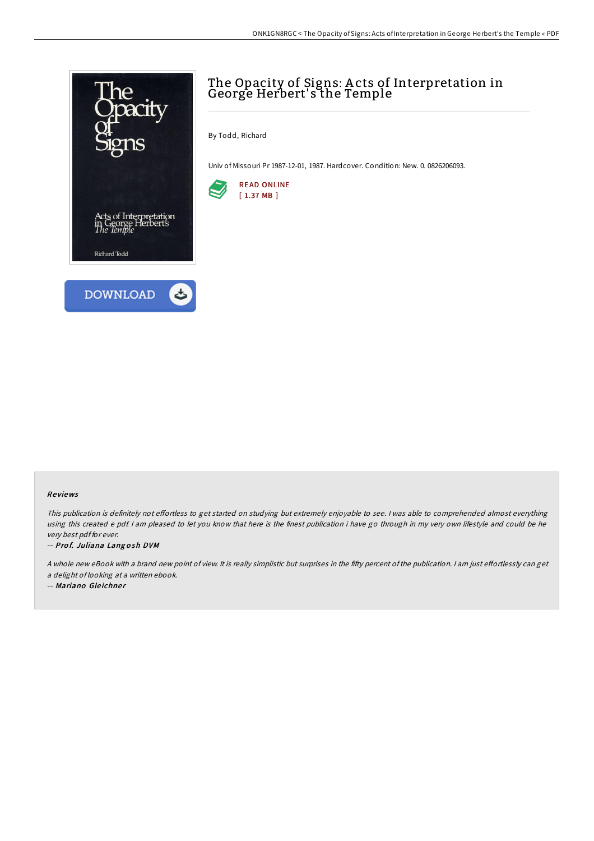



By Todd, Richard

Univ of Missouri Pr 1987-12-01, 1987. Hardcover. Condition: New. 0. 0826206093.



#### Re views

This publication is definitely not effortless to get started on studying but extremely enjoyable to see. I was able to comprehended almost everything using this created <sup>e</sup> pdf. <sup>I</sup> am pleased to let you know that here is the finest publication i have go through in my very own lifestyle and could be he very best pdf for ever.

-- Prof. Juliana Langosh DVM

A whole new eBook with a brand new point of view. It is really simplistic but surprises in the fifty percent of the publication. I am just effortlessly can get <sup>a</sup> delight of looking at <sup>a</sup> written ebook.

-- Mariano Gleichner